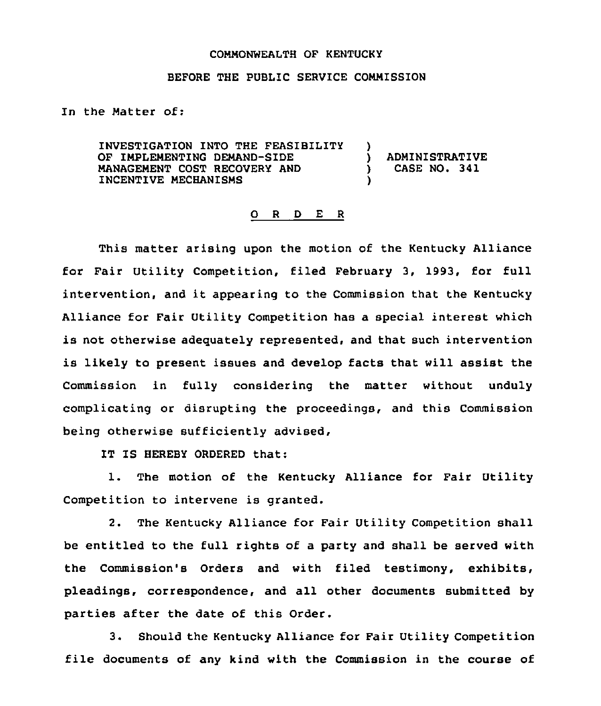## COMMONWEALTH OF KENTUCKY

## BEFORE THE PUBLIC SERVICE COMMISSION

In the Matter of:

INVESTIGATION INTO THE FEASIBILITY )<br>OF IMPLEMENTING DEMAND-SIDE OF IMPLEMENTING DEMAND-SIDE ) ADMINISTRATIVE MANAGEMENT COST RECOVERY AND INCENTIVE MECHANISMS )

## 0 <sup>R</sup> <sup>D</sup> E <sup>R</sup>

This matter arising upon the motion of the Kentucky Alliance for Fair Utility Competition, filed February 3, 1993, for full intervention, and it appearing to the Commission that the Kentucky Alliance for Fair Utility Competition has a special interest which is not otherwise adequately represented, and that such intervention is likely to present issues and develop facts that will assist the Commission in fully considering the matter without unduly complicating or disrupting the proceedings, and this Commission being otherwise sufficiently advised,

IT IS HEREBY ORDERED that:

1. The motion of the Kentucky Alliance for Fair Utility Competition to intervene is granted.

2. The Kentucky Alliance for Fair Utility Competition shall be entitled to the full rights of a party and shall be served with the Commission's Orders and with filed testimony, exhibits, pleadings, correspondence, and all other documents submitted by parties after the date of this Order.

3. Should the Kentucky Alliance for Fair Utility Competition file documents of any kind with the Commission in the course of